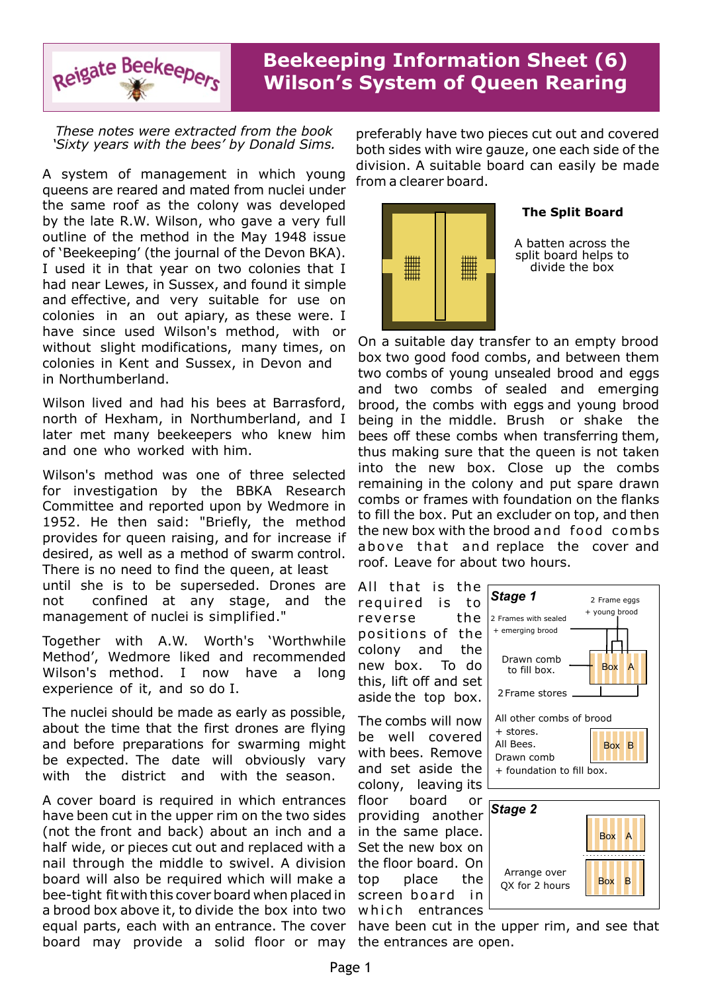

## **Beekeeping Information Sheet (6) Wilson's System of Queen Rearing**

*These notes were extracted from the book 'Sixty years with the bees' by Donald Sims.*

A system of management in which young queens are reared and mated from nuclei under the same roof as the colony was developed by the late R.W. Wilson, who gave a very full outline of the method in the May 1948 issue of 'Beekeeping' (the journal of the Devon BKA). I used it in that year on two colonies that I had near Lewes, in Sussex, and found it simple and effective, and very suitable for use on colonies in an out apiary, as these were. I have since used Wilson's method, with or without slight modifications, many times, on colonies in Kent and Sussex, in Devon and in Northumberland.

Wilson lived and had his bees at Barrasford, north of Hexham, in Northumberland, and I later met many beekeepers who knew him and one who worked with him.

Wilson's method was one of three selected for investigation by the BBKA Research Committee and reported upon by Wedmore in 1952. He then said: "Briefly, the method provides for queen raising, and for increase if desired, as well as a method of swarm control. There is no need to find the queen, at least until she is to be superseded. Drones are not confined at any stage, and the management of nuclei is simplified."

Together with A.W. Worth's 'Worthwhile Method', Wedmore liked and recommended Wilson's method. I now have a long experience of it, and so do I.

The nuclei should be made as early as possible, about the time that the first drones are flying and before preparations for swarming might be expected. The date will obviously vary with the district and with the season.

A cover board is required in which entrances have been cut in the upper rim on the two sides (not the front and back) about an inch and a half wide, or pieces cut out and replaced with a nail through the middle to swivel. A division board will also be required which will make a bee-tight fit with this cover board when placed in a brood box above it, to divide the box into two equal parts, each with an entrance. The cover board may provide a solid floor or may the entrances are open.

preferably have two pieces cut out and covered both sides with wire gauze, one each side of the division. A suitable board can easily be made from a clearer board.



## **The Split Board**

A batten across the split board helps to divide the box

On a suitable day transfer to an empty brood box two good food combs, and between them two combs of young unsealed brood and eggs and two combs of sealed and emerging brood, the combs with eggs and young brood being in the middle. Brush or shake the bees off these combs when transferring them, thus making sure that the queen is not taken into the new box. Close up the combs remaining in the colony and put spare drawn combs or frames with foundation on the flanks to fill the box. Put an excluder on top, and then the new box with the brood and food combs above that and replace the cover and roof. Leave for about two hours.

All that is the required is to reverse the positions of the colony and the new box. To do this, lift off and set aside the top box.

The combs will now be well covered with bees. Remove and set aside the colony, leaving its floor board or providing another in the same place. Set the new box on the floor board. On top place the screen board in

which entrances



Box B

have been cut in the upper rim, and see that

QX for 2 hours